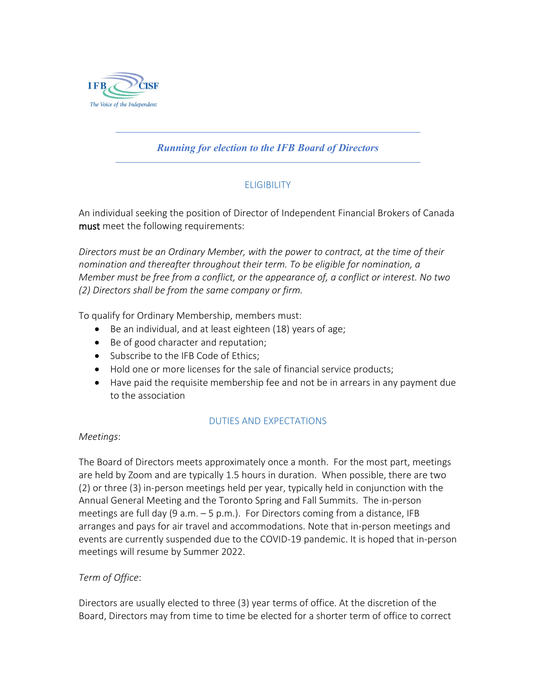

# *Running for election to the IFB Board of Directors*

## ELIGIBILITY

An individual seeking the position of Director of Independent Financial Brokers of Canada must meet the following requirements:

*Directors must be an Ordinary Member, with the power to contract, at the time of their nomination and thereafter throughout their term. To be eligible for nomination, a Member must be free from a conflict, or the appearance of, a conflict or interest. No two (2) Directors shall be from the same company or firm.*

To qualify for Ordinary Membership, members must:

- Be an individual, and at least eighteen (18) years of age;
- Be of good character and reputation;
- Subscribe to the IFB Code of Ethics;
- Hold one or more licenses for the sale of financial service products;
- Have paid the requisite membership fee and not be in arrears in any payment due to the association

## DUTIES AND EXPECTATIONS

#### *Meetings*:

The Board of Directors meets approximately once a month. For the most part, meetings are held by Zoom and are typically 1.5 hours in duration. When possible, there are two (2) or three (3) in-person meetings held per year, typically held in conjunction with the Annual General Meeting and the Toronto Spring and Fall Summits. The in-person meetings are full day (9 a.m.  $-5$  p.m.). For Directors coming from a distance, IFB arranges and pays for air travel and accommodations. Note that in-person meetings and events are currently suspended due to the COVID-19 pandemic. It is hoped that in-person meetings will resume by Summer 2022.

## *Term of Office*:

Directors are usually elected to three (3) year terms of office. At the discretion of the Board, Directors may from time to time be elected for a shorter term of office to correct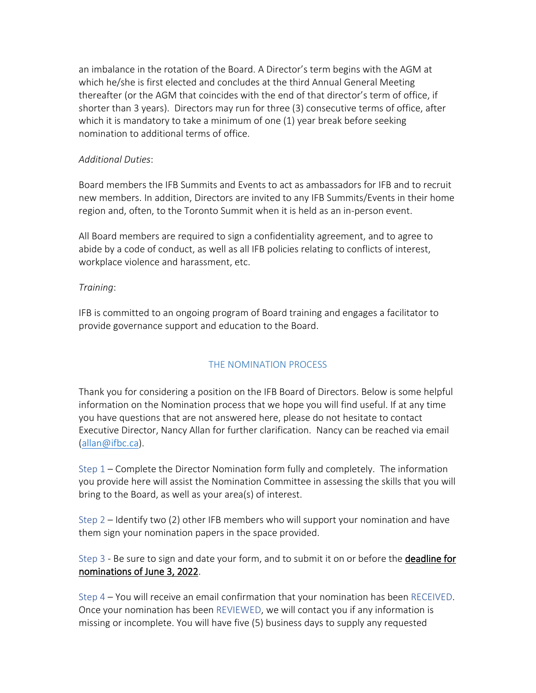an imbalance in the rotation of the Board. A Director's term begins with the AGM at which he/she is first elected and concludes at the third Annual General Meeting thereafter (or the AGM that coincides with the end of that director's term of office, if shorter than 3 years). Directors may run for three (3) consecutive terms of office, after which it is mandatory to take a minimum of one (1) year break before seeking nomination to additional terms of office.

#### *Additional Duties*:

Board members the IFB Summits and Events to act as ambassadors for IFB and to recruit new members. In addition, Directors are invited to any IFB Summits/Events in their home region and, often, to the Toronto Summit when it is held as an in-person event.

All Board members are required to sign a confidentiality agreement, and to agree to abide by a code of conduct, as well as all IFB policies relating to conflicts of interest, workplace violence and harassment, etc.

#### *Training*:

IFB is committed to an ongoing program of Board training and engages a facilitator to provide governance support and education to the Board.

## THE NOMINATION PROCESS

Thank you for considering a position on the IFB Board of Directors. Below is some helpful information on the Nomination process that we hope you will find useful. If at any time you have questions that are not answered here, please do not hesitate to contact Executive Director, Nancy Allan for further clarification. Nancy can be reached via email [\(allan@ifbc.ca\)](mailto:allan@ifbc.ca).

Step 1 – Complete the Director Nomination form fully and completely. The information you provide here will assist the Nomination Committee in assessing the skills that you will bring to the Board, as well as your area(s) of interest.

Step 2 – Identify two (2) other IFB members who will support your nomination and have them sign your nomination papers in the space provided.

Step 3 - Be sure to sign and date your form, and to submit it on or before the **deadline for** nominations of June 3, 2022.

Step 4 – You will receive an email confirmation that your nomination has been RECEIVED. Once your nomination has been REVIEWED, we will contact you if any information is missing or incomplete. You will have five (5) business days to supply any requested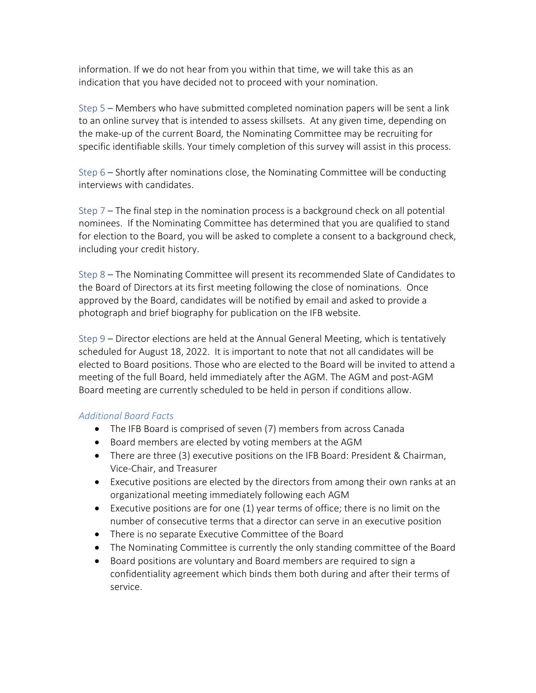information. If we do not hear from you within that time, we will take this as an indication that you have decided not to proceed with your nomination.

Step 5 – Members who have submitted completed nomination papers will be sent a link to an online survey that is intended to assess skillsets. At any given time, depending on the make-up of the current Board, the Nominating Committee may be recruiting for specific identifiable skills. Your timely completion of this survey will assist in this process.

Step 6 – Shortly after nominations close, the Nominating Committee will be conducting interviews with candidates.

Step 7 – The final step in the nomination process is a background check on all potential nominees. If the Nominating Committee has determined that you are qualified to stand for election to the Board, you will be asked to complete a consent to a background check, including your credit history.

Step 8 – The Nominating Committee will present its recommended Slate of Candidates to the Board of Directors at its first meeting following the close of nominations. Once approved by the Board, candidates will be notified by email and asked to provide a photograph and brief biography for publication on the IFB website.

Step 9 – Director elections are held at the Annual General Meeting, which is tentatively scheduled for August 18, 2022. It is important to note that not all candidates will be elected to Board positions. Those who are elected to the Board will be invited to attend a meeting of the full Board, held immediately after the AGM. The AGM and post-AGM Board meeting are currently scheduled to be held in person if conditions allow.

## *Additional Board Facts*

- The IFB Board is comprised of seven (7) members from across Canada
- Board members are elected by voting members at the AGM
- There are three (3) executive positions on the IFB Board: President & Chairman, Vice-Chair, and Treasurer
- Executive positions are elected by the directors from among their own ranks at an organizational meeting immediately following each AGM
- Executive positions are for one (1) year terms of office; there is no limit on the number of consecutive terms that a director can serve in an executive position
- There is no separate Executive Committee of the Board
- The Nominating Committee is currently the only standing committee of the Board
- Board positions are voluntary and Board members are required to sign a confidentiality agreement which binds them both during and after their terms of service.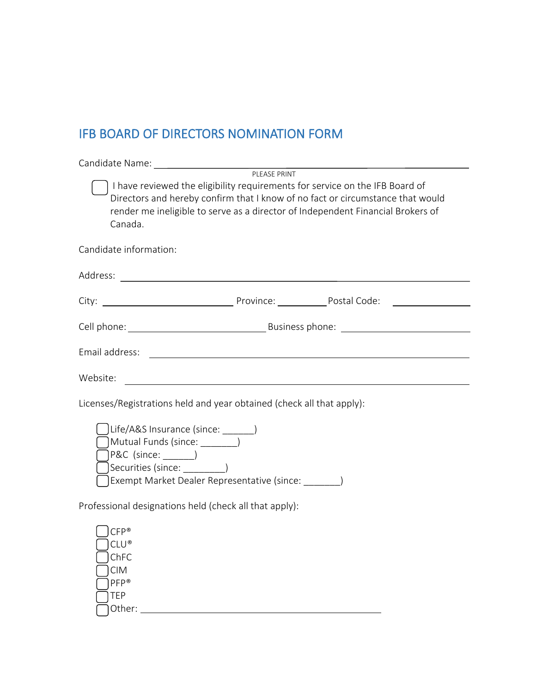# IFB BOARD OF DIRECTORS NOMINATION FORM

|                                                                       | I have reviewed the eligibility requirements for service on the IFB Board of<br>Directors and hereby confirm that I know of no fact or circumstance that would<br>render me ineligible to serve as a director of Independent Financial Brokers of<br>Canada. |
|-----------------------------------------------------------------------|--------------------------------------------------------------------------------------------------------------------------------------------------------------------------------------------------------------------------------------------------------------|
|                                                                       | Candidate information:                                                                                                                                                                                                                                       |
|                                                                       |                                                                                                                                                                                                                                                              |
|                                                                       |                                                                                                                                                                                                                                                              |
|                                                                       |                                                                                                                                                                                                                                                              |
|                                                                       | Email address: <u>contract and a series of the series of the series of the series of the series of the series of the series of the series of the series of the series of the series of the series of the series of the series of</u>                         |
| Website:                                                              |                                                                                                                                                                                                                                                              |
| Licenses/Registrations held and year obtained (check all that apply): |                                                                                                                                                                                                                                                              |
|                                                                       | Life/A&S Insurance (since: _______)<br>Mutual Funds (since: \Summarrow )<br>$P\&C$ (since: $\rule{1em}{0.15mm}$ )<br>Securities (since: __________)<br>Exempt Market Dealer Representative (since:                                                           |
| Professional designations held (check all that apply):                |                                                                                                                                                                                                                                                              |
|                                                                       | $CFP^*$<br>$CLU$ <sup>®</sup><br>ChFC<br><b>CIM</b><br>PFP®<br>TEP<br>Other:                                                                                                                                                                                 |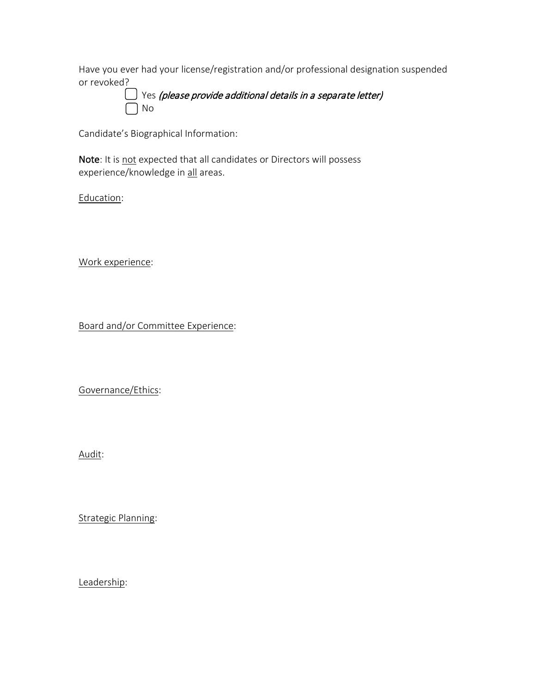Have you ever had your license/registration and/or professional designation suspended or revoked?

 Yes (please provide additional details in a separate letter) No

Candidate's Biographical Information:

Note: It is not expected that all candidates or Directors will possess experience/knowledge in all areas.

Education:

Work experience:

Board and/or Committee Experience:

Governance/Ethics:

Audit:

Strategic Planning:

Leadership: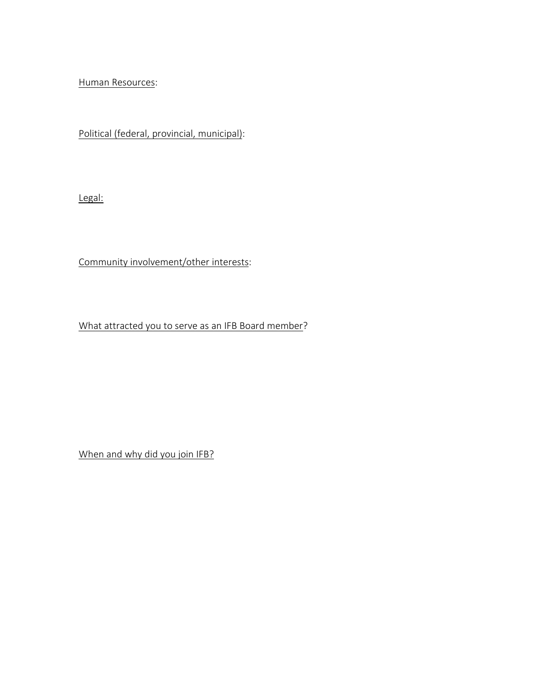Human Resources:

Political (federal, provincial, municipal):

Legal:

Community involvement/other interests:

What attracted you to serve as an IFB Board member?

When and why did you join IFB?